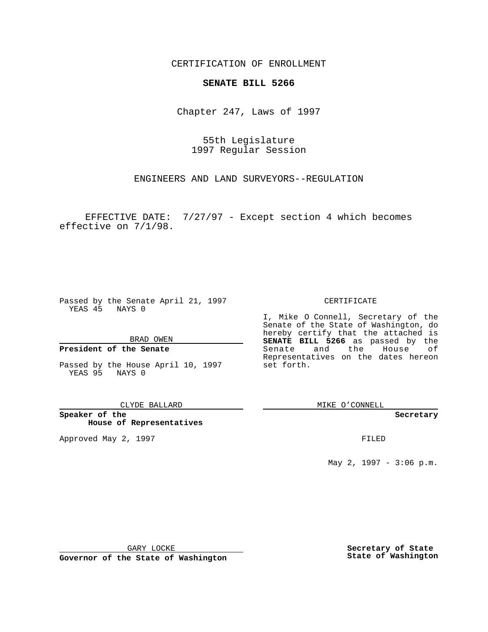CERTIFICATION OF ENROLLMENT

# **SENATE BILL 5266**

Chapter 247, Laws of 1997

55th Legislature 1997 Regular Session

ENGINEERS AND LAND SURVEYORS--REGULATION

EFFECTIVE DATE: 7/27/97 - Except section 4 which becomes effective on 7/1/98.

Passed by the Senate April 21, 1997 YEAS 45 NAYS 0

BRAD OWEN

### **President of the Senate**

Passed by the House April 10, 1997 YEAS 95 NAYS 0

CLYDE BALLARD

**Speaker of the House of Representatives**

Approved May 2, 1997 **FILED** 

CERTIFICATE

I, Mike O Connell, Secretary of the Senate of the State of Washington, do hereby certify that the attached is **SENATE BILL 5266** as passed by the Senate and the House of Representatives on the dates hereon set forth.

MIKE O'CONNELL

#### **Secretary**

May 2, 1997 - 3:06 p.m.

GARY LOCKE

**Governor of the State of Washington**

**Secretary of State State of Washington**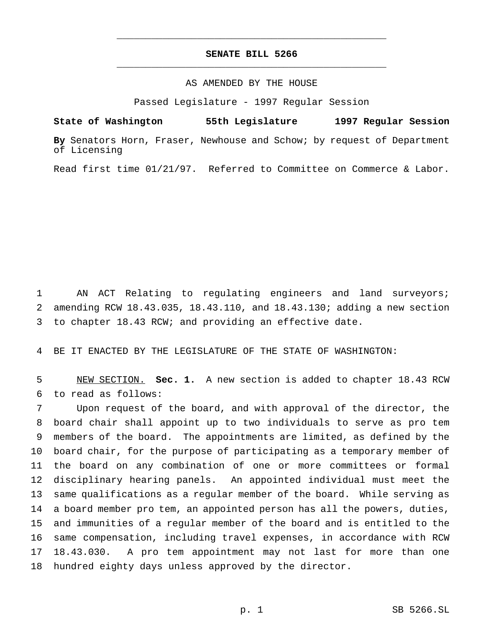## **SENATE BILL 5266** \_\_\_\_\_\_\_\_\_\_\_\_\_\_\_\_\_\_\_\_\_\_\_\_\_\_\_\_\_\_\_\_\_\_\_\_\_\_\_\_\_\_\_\_\_\_\_

\_\_\_\_\_\_\_\_\_\_\_\_\_\_\_\_\_\_\_\_\_\_\_\_\_\_\_\_\_\_\_\_\_\_\_\_\_\_\_\_\_\_\_\_\_\_\_

## AS AMENDED BY THE HOUSE

Passed Legislature - 1997 Regular Session

**State of Washington 55th Legislature 1997 Regular Session**

**By** Senators Horn, Fraser, Newhouse and Schow; by request of Department of Licensing

Read first time 01/21/97. Referred to Committee on Commerce & Labor.

 AN ACT Relating to regulating engineers and land surveyors; amending RCW 18.43.035, 18.43.110, and 18.43.130; adding a new section to chapter 18.43 RCW; and providing an effective date.

BE IT ENACTED BY THE LEGISLATURE OF THE STATE OF WASHINGTON:

 NEW SECTION. **Sec. 1.** A new section is added to chapter 18.43 RCW to read as follows:

 Upon request of the board, and with approval of the director, the board chair shall appoint up to two individuals to serve as pro tem members of the board. The appointments are limited, as defined by the board chair, for the purpose of participating as a temporary member of the board on any combination of one or more committees or formal disciplinary hearing panels. An appointed individual must meet the same qualifications as a regular member of the board. While serving as a board member pro tem, an appointed person has all the powers, duties, and immunities of a regular member of the board and is entitled to the same compensation, including travel expenses, in accordance with RCW 18.43.030. A pro tem appointment may not last for more than one hundred eighty days unless approved by the director.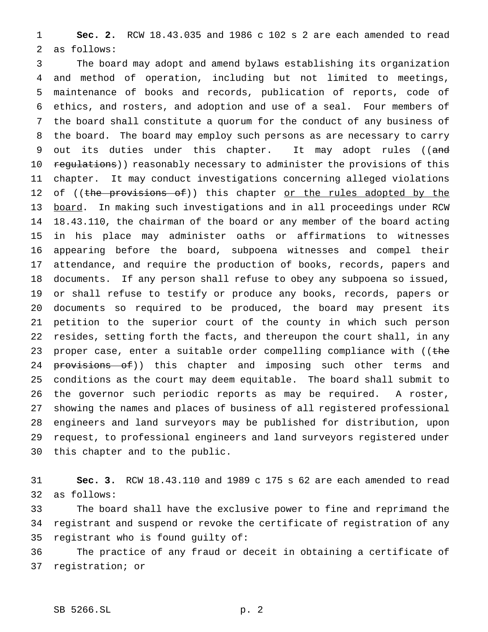**Sec. 2.** RCW 18.43.035 and 1986 c 102 s 2 are each amended to read as follows:

 The board may adopt and amend bylaws establishing its organization and method of operation, including but not limited to meetings, maintenance of books and records, publication of reports, code of ethics, and rosters, and adoption and use of a seal. Four members of the board shall constitute a quorum for the conduct of any business of the board. The board may employ such persons as are necessary to carry 9 out its duties under this chapter. It may adopt rules ((and 10 regulations)) reasonably necessary to administer the provisions of this chapter. It may conduct investigations concerning alleged violations 12 of ((the provisions of)) this chapter or the rules adopted by the 13 board. In making such investigations and in all proceedings under RCW 18.43.110, the chairman of the board or any member of the board acting in his place may administer oaths or affirmations to witnesses appearing before the board, subpoena witnesses and compel their attendance, and require the production of books, records, papers and documents. If any person shall refuse to obey any subpoena so issued, or shall refuse to testify or produce any books, records, papers or documents so required to be produced, the board may present its petition to the superior court of the county in which such person resides, setting forth the facts, and thereupon the court shall, in any 23 proper case, enter a suitable order compelling compliance with (( $t$ he 24 provisions of)) this chapter and imposing such other terms and conditions as the court may deem equitable. The board shall submit to the governor such periodic reports as may be required. A roster, showing the names and places of business of all registered professional engineers and land surveyors may be published for distribution, upon request, to professional engineers and land surveyors registered under this chapter and to the public.

 **Sec. 3.** RCW 18.43.110 and 1989 c 175 s 62 are each amended to read as follows:

 The board shall have the exclusive power to fine and reprimand the registrant and suspend or revoke the certificate of registration of any registrant who is found guilty of:

 The practice of any fraud or deceit in obtaining a certificate of registration; or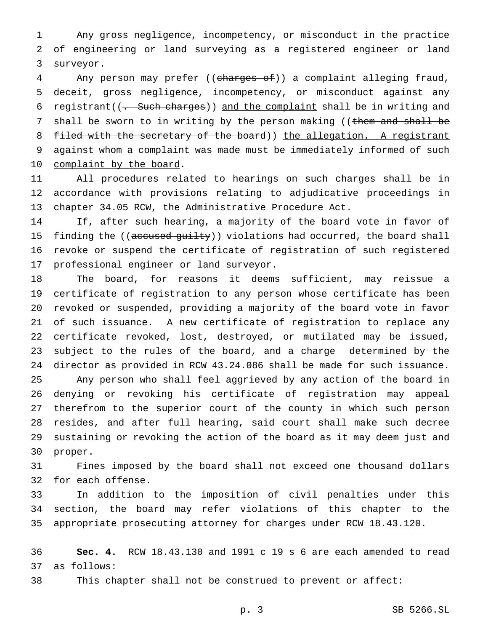Any gross negligence, incompetency, or misconduct in the practice of engineering or land surveying as a registered engineer or land surveyor.

4 Any person may prefer ((charges of)) a complaint alleging fraud, deceit, gross negligence, incompetency, or misconduct against any 6 registrant( $(-$  Such charges)) and the complaint shall be in writing and 7 shall be sworn to in writing by the person making ((them and shall be 8 filed with the secretary of the board)) the allegation. A registrant against whom a complaint was made must be immediately informed of such 10 complaint by the board.

 All procedures related to hearings on such charges shall be in accordance with provisions relating to adjudicative proceedings in chapter 34.05 RCW, the Administrative Procedure Act.

 If, after such hearing, a majority of the board vote in favor of 15 finding the ((accused guilty)) violations had occurred, the board shall revoke or suspend the certificate of registration of such registered professional engineer or land surveyor.

 The board, for reasons it deems sufficient, may reissue a certificate of registration to any person whose certificate has been revoked or suspended, providing a majority of the board vote in favor of such issuance. A new certificate of registration to replace any certificate revoked, lost, destroyed, or mutilated may be issued, subject to the rules of the board, and a charge determined by the director as provided in RCW 43.24.086 shall be made for such issuance. Any person who shall feel aggrieved by any action of the board in denying or revoking his certificate of registration may appeal therefrom to the superior court of the county in which such person resides, and after full hearing, said court shall make such decree sustaining or revoking the action of the board as it may deem just and proper.

 Fines imposed by the board shall not exceed one thousand dollars for each offense.

 In addition to the imposition of civil penalties under this section, the board may refer violations of this chapter to the appropriate prosecuting attorney for charges under RCW 18.43.120.

 **Sec. 4.** RCW 18.43.130 and 1991 c 19 s 6 are each amended to read as follows:

This chapter shall not be construed to prevent or affect:

p. 3 SB 5266.SL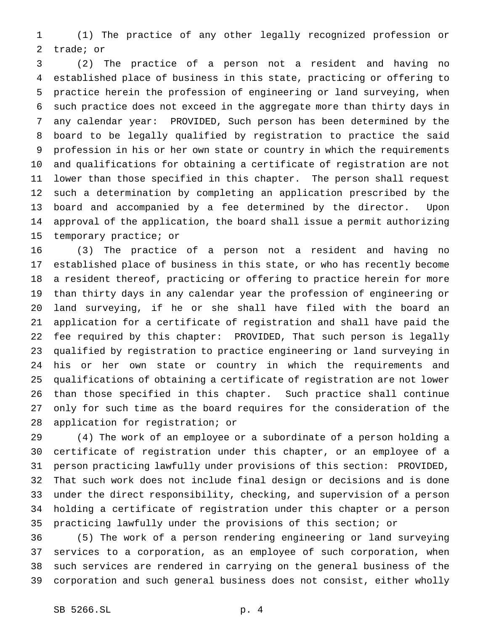(1) The practice of any other legally recognized profession or trade; or

 (2) The practice of a person not a resident and having no established place of business in this state, practicing or offering to practice herein the profession of engineering or land surveying, when such practice does not exceed in the aggregate more than thirty days in any calendar year: PROVIDED, Such person has been determined by the board to be legally qualified by registration to practice the said profession in his or her own state or country in which the requirements and qualifications for obtaining a certificate of registration are not lower than those specified in this chapter. The person shall request such a determination by completing an application prescribed by the board and accompanied by a fee determined by the director. Upon approval of the application, the board shall issue a permit authorizing temporary practice; or

 (3) The practice of a person not a resident and having no established place of business in this state, or who has recently become a resident thereof, practicing or offering to practice herein for more than thirty days in any calendar year the profession of engineering or land surveying, if he or she shall have filed with the board an application for a certificate of registration and shall have paid the fee required by this chapter: PROVIDED, That such person is legally qualified by registration to practice engineering or land surveying in his or her own state or country in which the requirements and qualifications of obtaining a certificate of registration are not lower than those specified in this chapter. Such practice shall continue only for such time as the board requires for the consideration of the application for registration; or

 (4) The work of an employee or a subordinate of a person holding a certificate of registration under this chapter, or an employee of a person practicing lawfully under provisions of this section: PROVIDED, That such work does not include final design or decisions and is done under the direct responsibility, checking, and supervision of a person holding a certificate of registration under this chapter or a person practicing lawfully under the provisions of this section; or

 (5) The work of a person rendering engineering or land surveying services to a corporation, as an employee of such corporation, when such services are rendered in carrying on the general business of the corporation and such general business does not consist, either wholly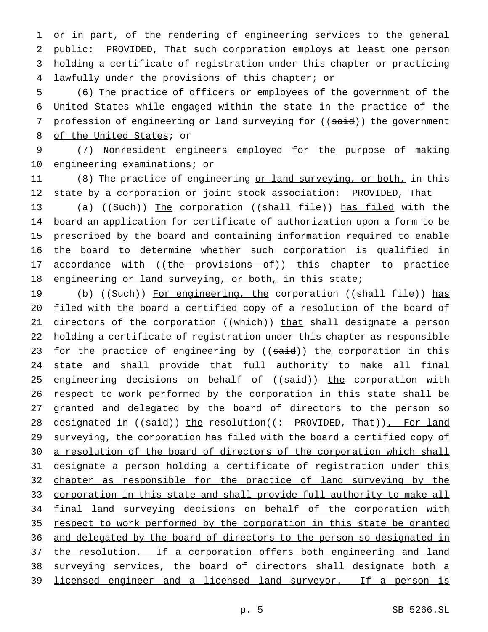or in part, of the rendering of engineering services to the general public: PROVIDED, That such corporation employs at least one person holding a certificate of registration under this chapter or practicing lawfully under the provisions of this chapter; or

 (6) The practice of officers or employees of the government of the United States while engaged within the state in the practice of the 7 profession of engineering or land surveying for ((said)) the government of the United States; or

9 (7) Nonresident engineers employed for the purpose of making 10 engineering examinations; or

11 (8) The practice of engineering <u>or land surveying, or both,</u> in this 12 state by a corporation or joint stock association: PROVIDED, That

13 (a) ((Such)) The corporation ((shall file)) has filed with the 14 board an application for certificate of authorization upon a form to be 15 prescribed by the board and containing information required to enable 16 the board to determine whether such corporation is qualified in 17 accordance with ((the provisions of)) this chapter to practice 18 engineering or land surveying, or both, in this state;

19 (b) ((Such)) For engineering, the corporation ((shall file)) has 20 filed with the board a certified copy of a resolution of the board of 21 directors of the corporation ((which)) that shall designate a person 22 holding a certificate of registration under this chapter as responsible 23 for the practice of engineering by ((said)) the corporation in this 24 state and shall provide that full authority to make all final 25 engineering decisions on behalf of ((said)) the corporation with 26 respect to work performed by the corporation in this state shall be 27 granted and delegated by the board of directors to the person so 28 designated in ((said)) the resolution((: PROVIDED, That)). For land 29 surveying, the corporation has filed with the board a certified copy of 30 a resolution of the board of directors of the corporation which shall 31 designate a person holding a certificate of registration under this 32 chapter as responsible for the practice of land surveying by the 33 corporation in this state and shall provide full authority to make all 34 final land surveying decisions on behalf of the corporation with 35 respect to work performed by the corporation in this state be granted 36 and delegated by the board of directors to the person so designated in 37 the resolution. If a corporation offers both engineering and land 38 surveying services, the board of directors shall designate both a 39 licensed engineer and a licensed land surveyor. If a person is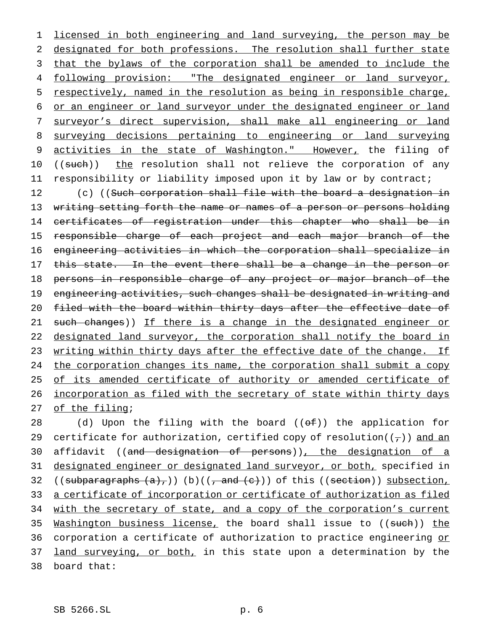licensed in both engineering and land surveying, the person may be designated for both professions. The resolution shall further state 3 that the bylaws of the corporation shall be amended to include the following provision: "The designated engineer or land surveyor, respectively, named in the resolution as being in responsible charge, or an engineer or land surveyor under the designated engineer or land surveyor's direct supervision, shall make all engineering or land surveying decisions pertaining to engineering or land surveying activities in the state of Washington." However, the filing of 10 ((such)) the resolution shall not relieve the corporation of any responsibility or liability imposed upon it by law or by contract;

12 (c) ((Such corporation shall file with the board a designation in 13 writing setting forth the name or names of a person or persons holding 14 certificates of registration under this chapter who shall be in 15 responsible charge of each project and each major branch of the 16 engineering activities in which the corporation shall specialize in 17 this state. In the event there shall be a change in the person or 18 persons in responsible charge of any project or major branch of the 19 engineering activities, such changes shall be designated in writing and 20 filed with the board within thirty days after the effective date of 21 such changes)) If there is a change in the designated engineer or 22 designated land surveyor, the corporation shall notify the board in 23 writing within thirty days after the effective date of the change. If 24 the corporation changes its name, the corporation shall submit a copy 25 of its amended certificate of authority or amended certificate of 26 incorporation as filed with the secretary of state within thirty days 27 of the filing;

28 (d) Upon the filing with the board  $((ef))$  the application for 29 certificate for authorization, certified copy of resolution( $(\tau)$ ) and an 30 affidavit ((and designation of persons)), the designation of a 31 designated engineer or designated land surveyor, or both, specified in 32 ((subparagraphs  $(a)_{\tau}$ )) (b)(( $\tau$  and  $(e)$ )) of this ((section)) subsection, 33 a certificate of incorporation or certificate of authorization as filed 34 with the secretary of state, and a copy of the corporation's current 35 Washington business license, the board shall issue to ((such)) the 36 corporation a certificate of authorization to practice engineering or 37 land surveying, or both, in this state upon a determination by the 38 board that: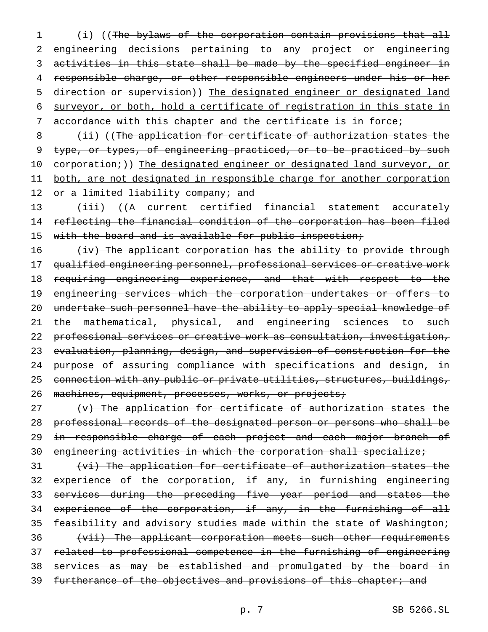(i) ((The bylaws of the corporation contain provisions that all engineering decisions pertaining to any project or engineering 3 activities in this state shall be made by the specified engineer in responsible charge, or other responsible engineers under his or her direction or supervision)) The designated engineer or designated land surveyor, or both, hold a certificate of registration in this state in 7 accordance with this chapter and the certificate is in force;

8 (ii) ((The application for certificate of authorization states the 9 type, or types, of engineering practiced, or to be practiced by such 10 corporation;)) The designated engineer or designated land surveyor, or 11 both, are not designated in responsible charge for another corporation 12 or a limited liability company; and

13 (iii) ((A current certified financial statement accurately 14 reflecting the financial condition of the corporation has been filed 15 with the board and is available for public inspection;

16 (iv) The applicant corporation has the ability to provide through 17 qualified engineering personnel, professional services or creative work 18 requiring engineering experience, and that with respect to the 19 engineering services which the corporation undertakes or offers to 20 undertake such personnel have the ability to apply special knowledge of 21 the mathematical, physical, and engineering sciences to such 22 professional services or creative work as consultation, investigation, 23 evaluation, planning, design, and supervision of construction for the 24 purpose of assuring compliance with specifications and design, in 25 connection with any public or private utilities, structures, buildings, 26 machines, equipment, processes, works, or projects;

 (v) The application for certificate of authorization states the professional records of the designated person or persons who shall be 29 in responsible charge of each project and each major branch of engineering activities in which the corporation shall specialize;

31 (vi) The application for certificate of authorization states the 32 experience of the corporation, if any, in furnishing engineering 33 services during the preceding five year period and states the 34 experience of the corporation, if any, in the furnishing of all 35 feasibility and advisory studies made within the state of Washington; 36 (vii) The applicant corporation meets such other requirements 37 related to professional competence in the furnishing of engineering 38 services as may be established and promulgated by the board in 39 furtherance of the objectives and provisions of this chapter; and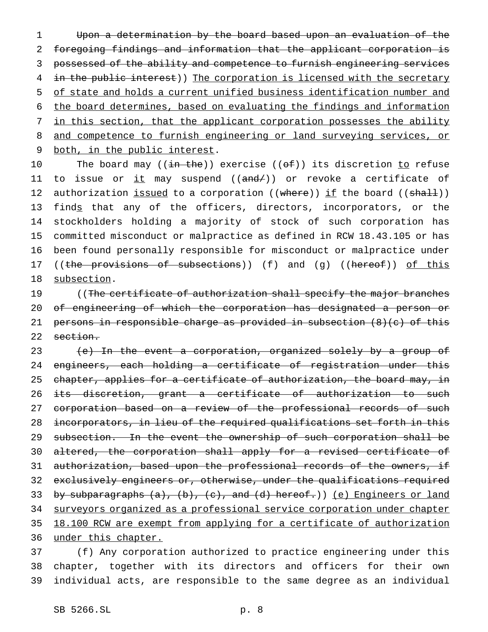Upon a determination by the board based upon an evaluation of the foregoing findings and information that the applicant corporation is possessed of the ability and competence to furnish engineering services 4 in the public interest)) The corporation is licensed with the secretary of state and holds a current unified business identification number and the board determines, based on evaluating the findings and information 7 in this section, that the applicant corporation possesses the ability and competence to furnish engineering or land surveying services, or both, in the public interest.

10 The board may  $((\frac{in - the}{e}))$  exercise  $((\frac{of}{e}))$  its discretion to refuse 11 to issue or  $\pm t$  may suspend (( $\pm dt$ )) or revoke a certificate of 12 authorization issued to a corporation ((where)) if the board ((shall)) 13 finds that any of the officers, directors, incorporators, or the 14 stockholders holding a majority of stock of such corporation has 15 committed misconduct or malpractice as defined in RCW 18.43.105 or has 16 been found personally responsible for misconduct or malpractice under 17 ((the provisions of subsections)) (f) and (g) ((hereof)) of this 18 subsection.

19 ((The certificate of authorization shall specify the major branches 20 of engineering of which the corporation has designated a person or 21 persons in responsible charge as provided in subsection (8)(c) of this 22 section.

23 (e) In the event a corporation, organized solely by a group of 24 engineers, each holding a certificate of registration under this 25 chapter, applies for a certificate of authorization, the board may, in 26 its discretion, grant a certificate of authorization to such 27 corporation based on a review of the professional records of such 28 incorporators, in lieu of the required qualifications set forth in this 29 subsection. In the event the ownership of such corporation shall be 30 altered, the corporation shall apply for a revised certificate of 31 authorization, based upon the professional records of the owners, if 32 exclusively engineers or, otherwise, under the qualifications required 33 by subparagraphs (a), (b), (c), and (d) hereof.)) (e) Engineers or land 34 surveyors organized as a professional service corporation under chapter 35 18.100 RCW are exempt from applying for a certificate of authorization 36 under this chapter.

37 (f) Any corporation authorized to practice engineering under this 38 chapter, together with its directors and officers for their own 39 individual acts, are responsible to the same degree as an individual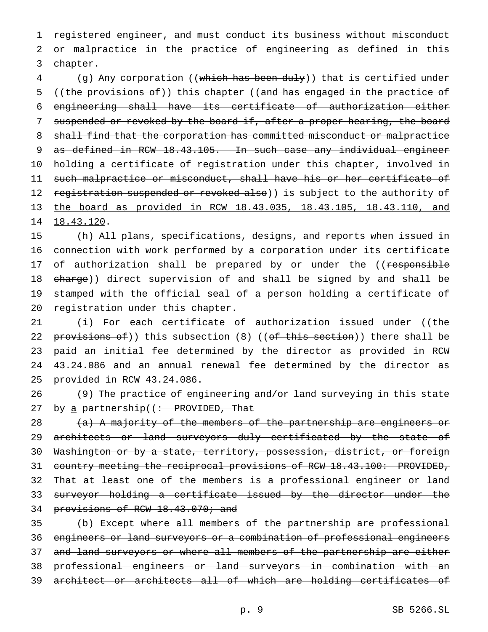1 registered engineer, and must conduct its business without misconduct 2 or malpractice in the practice of engineering as defined in this 3 chapter.

4 (g) Any corporation ((which has been duly)) that is certified under 5 ((the provisions of)) this chapter ((and has engaged in the practice of 6 engineering shall have its certificate of authorization either 7 suspended or revoked by the board if, after a proper hearing, the board 8 shall find that the corporation has committed misconduct or malpractice 9 as defined in RCW 18.43.105. In such case any individual engineer 10 holding a certificate of registration under this chapter, involved in 11 such malpractice or misconduct, shall have his or her certificate of 12 registration suspended or revoked also)) is subject to the authority of 13 the board as provided in RCW 18.43.035, 18.43.105, 18.43.110, and 14 18.43.120.

 (h) All plans, specifications, designs, and reports when issued in connection with work performed by a corporation under its certificate 17 of authorization shall be prepared by or under the ((responsible 18 charge)) direct supervision of and shall be signed by and shall be stamped with the official seal of a person holding a certificate of registration under this chapter.

21 (i) For each certificate of authorization issued under ((the 22 provisions of)) this subsection (8) ((of this section)) there shall be 23 paid an initial fee determined by the director as provided in RCW 24 43.24.086 and an annual renewal fee determined by the director as 25 provided in RCW 43.24.086.

26 (9) The practice of engineering and/or land surveying in this state 27 by a partnership( $\left( \div \text{PROVIDED}, \text{That} \right)$ 

28 (a) A majority of the members of the partnership are engineers or 29 architects or land surveyors duly certificated by the state of 30 Washington or by a state, territory, possession, district, or foreign 31 country meeting the reciprocal provisions of RCW 18.43.100: PROVIDED, 32 That at least one of the members is a professional engineer or land 33 surveyor holding a certificate issued by the director under the 34 provisions of RCW 18.43.070; and

 (b) Except where all members of the partnership are professional engineers or land surveyors or a combination of professional engineers 37 and land surveyors or where all members of the partnership are either professional engineers or land surveyors in combination with an architect or architects all of which are holding certificates of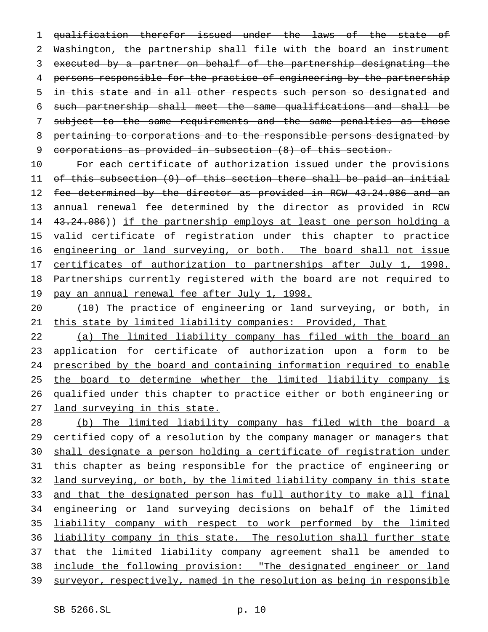qualification therefor issued under the laws of the state of 2 Washington, the partnership shall file with the board an instrument executed by a partner on behalf of the partnership designating the persons responsible for the practice of engineering by the partnership 5 in this state and in all other respects such person so designated and such partnership shall meet the same qualifications and shall be subject to the same requirements and the same penalties as those pertaining to corporations and to the responsible persons designated by corporations as provided in subsection (8) of this section.

10 For each certificate of authorization issued under the provisions 11 of this subsection (9) of this section there shall be paid an initial 12 fee determined by the director as provided in RCW 43.24.086 and an 13 annual renewal fee determined by the director as provided in RCW 14 43.24.086)) if the partnership employs at least one person holding a 15 valid certificate of registration under this chapter to practice 16 engineering or land surveying, or both. The board shall not issue 17 certificates of authorization to partnerships after July 1, 1998. 18 Partnerships currently registered with the board are not required to 19 pay an annual renewal fee after July 1, 1998.

20 (10) The practice of engineering or land surveying, or both, in 21 this state by limited liability companies: Provided, That

 (a) The limited liability company has filed with the board an 23 application for certificate of authorization upon a form to be prescribed by the board and containing information required to enable the board to determine whether the limited liability company is qualified under this chapter to practice either or both engineering or 27 land surveying in this state.

28 (b) The limited liability company has filed with the board a 29 certified copy of a resolution by the company manager or managers that 30 shall designate a person holding a certificate of registration under 31 this chapter as being responsible for the practice of engineering or 32 land surveying, or both, by the limited liability company in this state 33 and that the designated person has full authority to make all final 34 engineering or land surveying decisions on behalf of the limited 35 liability company with respect to work performed by the limited 36 liability company in this state. The resolution shall further state 37 that the limited liability company agreement shall be amended to 38 include the following provision: "The designated engineer or land 39 surveyor, respectively, named in the resolution as being in responsible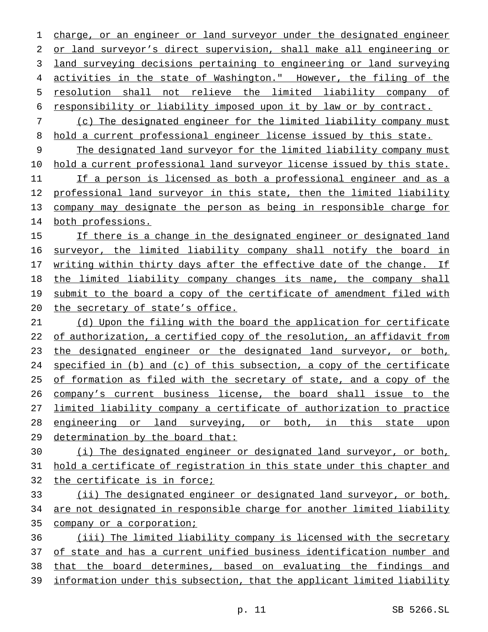charge, or an engineer or land surveyor under the designated engineer or land surveyor's direct supervision, shall make all engineering or land surveying decisions pertaining to engineering or land surveying activities in the state of Washington." However, the filing of the resolution shall not relieve the limited liability company of responsibility or liability imposed upon it by law or by contract.

 (c) The designated engineer for the limited liability company must hold a current professional engineer license issued by this state.

 The designated land surveyor for the limited liability company must hold a current professional land surveyor license issued by this state. If a person is licensed as both a professional engineer and as a 12 professional land surveyor in this state, then the limited liability company may designate the person as being in responsible charge for both professions.

 If there is a change in the designated engineer or designated land surveyor, the limited liability company shall notify the board in 17 writing within thirty days after the effective date of the change. If the limited liability company changes its name, the company shall 19 submit to the board a copy of the certificate of amendment filed with 20 the secretary of state's office.

 (d) Upon the filing with the board the application for certificate 22 of authorization, a certified copy of the resolution, an affidavit from the designated engineer or the designated land surveyor, or both, specified in (b) and (c) of this subsection, a copy of the certificate of formation as filed with the secretary of state, and a copy of the company's current business license, the board shall issue to the limited liability company a certificate of authorization to practice 28 engineering or land surveying, or both, in this state upon determination by the board that:

 (i) The designated engineer or designated land surveyor, or both, hold a certificate of registration in this state under this chapter and the certificate is in force;

 (ii) The designated engineer or designated land surveyor, or both, are not designated in responsible charge for another limited liability company or a corporation;

 (iii) The limited liability company is licensed with the secretary of state and has a current unified business identification number and that the board determines, based on evaluating the findings and information under this subsection, that the applicant limited liability